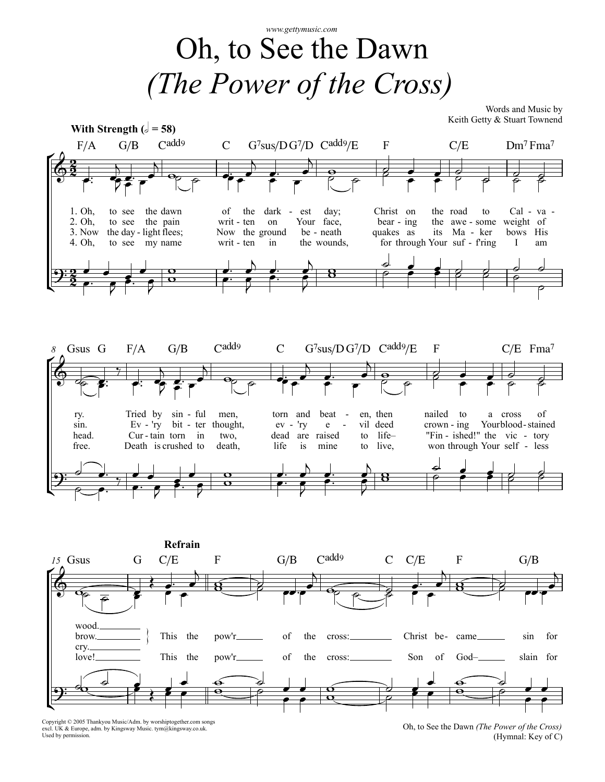

Words and Music by Keith Getty & Stuart Townend



Copyright © 2005<br> Thankyou Music/Adm. by worship<br/>together.com songs excl. UK & Europe, adm. by Kingsway Music. tym@kingsway.co.uk. Used by permission.

Oh, to See the Dawn (The Power of the Cross) (Hymnal: Key of C)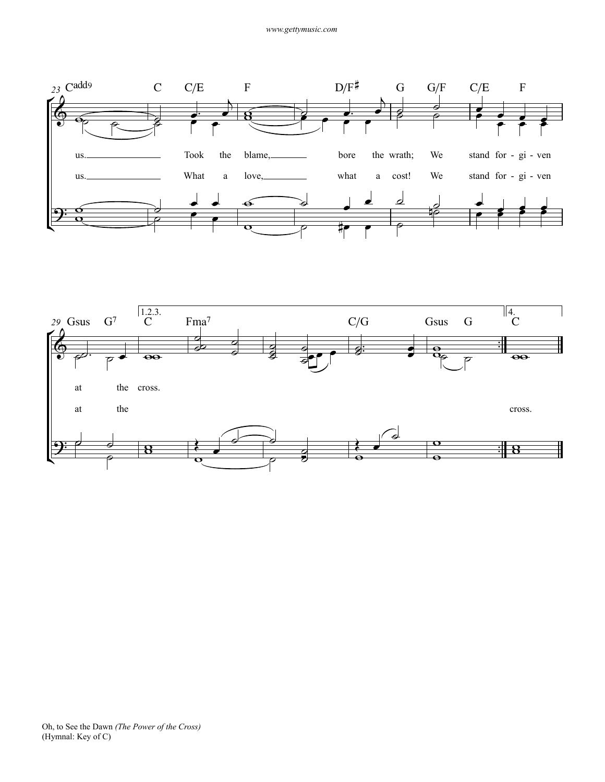

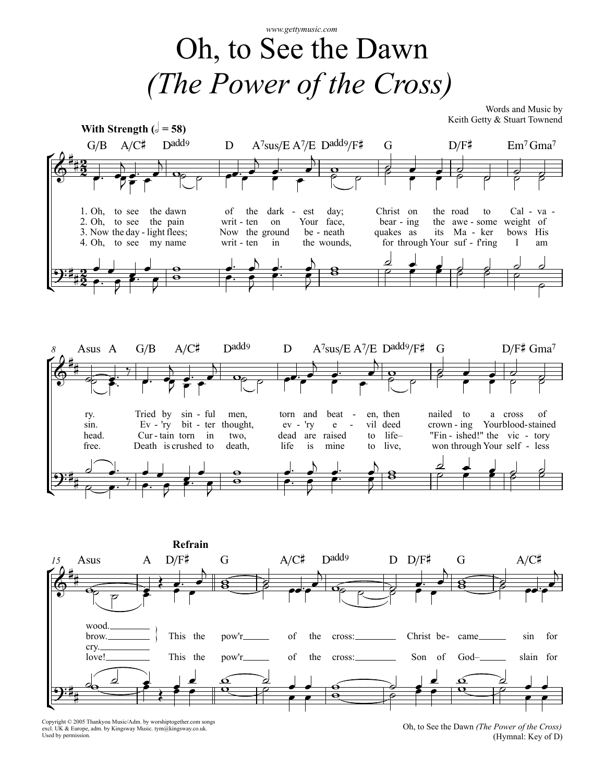

Words and Music by Keith Getty & Stuart Townend



Copyright © 2005<br> Thankyou Music/Adm. by worship<br/>together.com songs excl. UK & Europe, adm. by Kingsway Music. tym@kingsway.co.uk. Used by permission.

Oh, to See the Dawn (The Power of the Cross) (Hymnal: Key of D)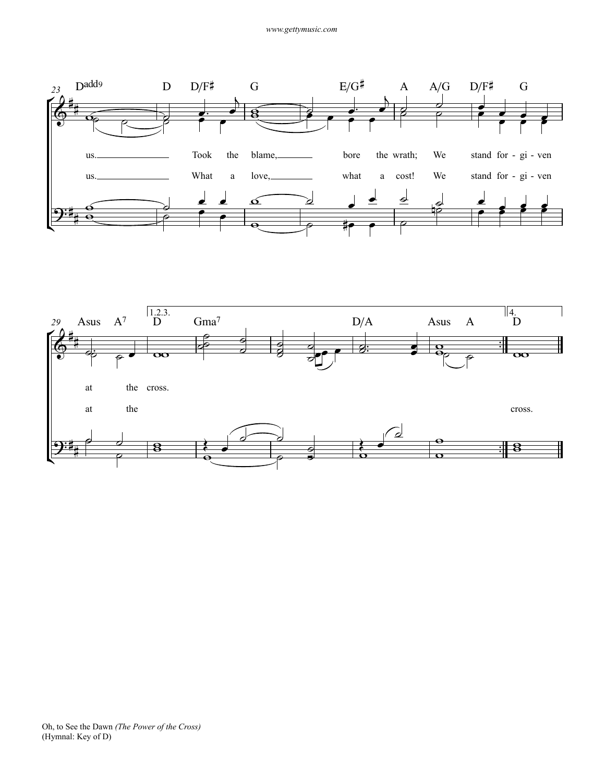

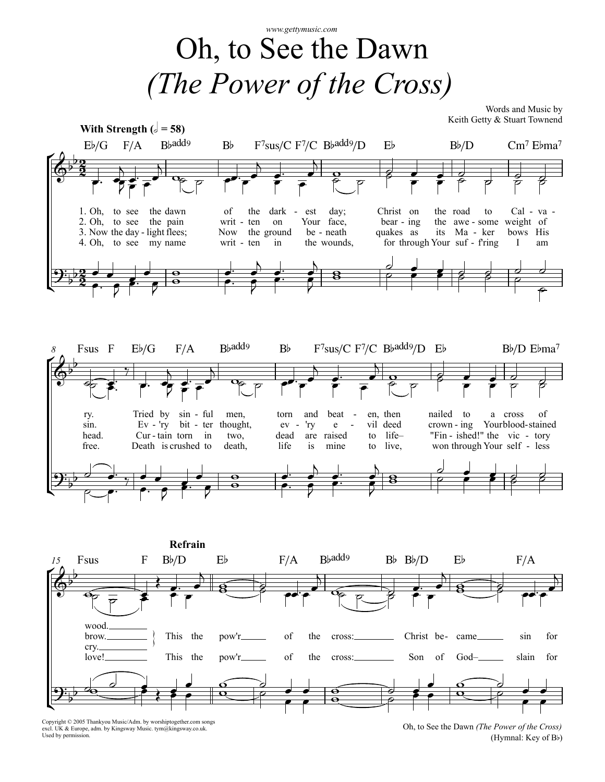

Words and Music by Keith Getty & Stuart Townend



Copyright © 2005<br> Thankyou Music/Adm. by worship<br/>together.com songs excl. UK & Europe, adm. by Kingsway Music. tym@kingsway.co.uk. Used by permission.

Oh, to See the Dawn (The Power of the Cross) (Hymnal: Key of Bb)